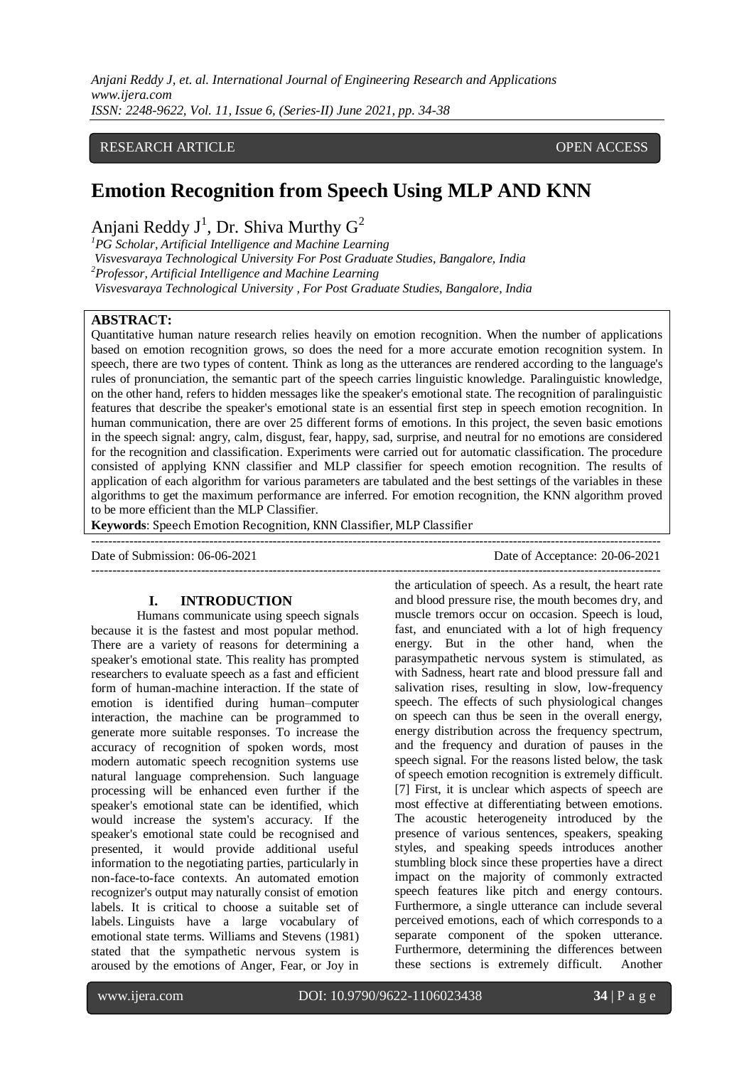*Anjani Reddy J, et. al. International Journal of Engineering Research and Applications www.ijera.com ISSN: 2248-9622, Vol. 11, Issue 6, (Series-II) June 2021, pp. 34-38*

# RESEARCH ARTICLE OPEN ACCESS

# **Emotion Recognition from Speech Using MLP AND KNN**

Anjani Reddy J<sup>1</sup>, Dr. Shiva Murthy  $G^2$ 

*<sup>1</sup>PG Scholar, Artificial Intelligence and Machine Learning*

*Visvesvaraya Technological University For Post Graduate Studies, Bangalore, India*

*<sup>2</sup>Professor, Artificial Intelligence and Machine Learning*

*Visvesvaraya Technological University , For Post Graduate Studies, Bangalore, India*

# **ABSTRACT:**

Quantitative human nature research relies heavily on emotion recognition. When the number of applications based on emotion recognition grows, so does the need for a more accurate emotion recognition system. In speech, there are two types of content. Think as long as the utterances are rendered according to the language's rules of pronunciation, the semantic part of the speech carries linguistic knowledge. Paralinguistic knowledge, on the other hand, refers to hidden messages like the speaker's emotional state. The recognition of paralinguistic features that describe the speaker's emotional state is an essential first step in speech emotion recognition. In human communication, there are over 25 different forms of emotions. In this project, the seven basic emotions in the speech signal: angry, calm, disgust, fear, happy, sad, surprise, and neutral for no emotions are considered for the recognition and classification. Experiments were carried out for automatic classification. The procedure consisted of applying KNN classifier and MLP classifier for speech emotion recognition. The results of application of each algorithm for various parameters are tabulated and the best settings of the variables in these algorithms to get the maximum performance are inferred. For emotion recognition, the KNN algorithm proved to be more efficient than the MLP Classifier.

**Keywords**: Speech Emotion Recognition, KNN Classifier, MLP Classifier

---------------------------------------------------------------------------------------------------------------------------------------

Date of Submission: 06-06-2021 Date of Acceptance: 20-06-2021

# **I. INTRODUCTION**

Humans communicate using speech signals because it is the fastest and most popular method. There are a variety of reasons for determining a speaker's emotional state. This reality has prompted researchers to evaluate speech as a fast and efficient form of human-machine interaction. If the state of emotion is identified during human–computer interaction, the machine can be programmed to generate more suitable responses. To increase the accuracy of recognition of spoken words, most modern automatic speech recognition systems use natural language comprehension. Such language processing will be enhanced even further if the speaker's emotional state can be identified, which would increase the system's accuracy. If the speaker's emotional state could be recognised and presented, it would provide additional useful information to the negotiating parties, particularly in non-face-to-face contexts. An automated emotion recognizer's output may naturally consist of emotion labels. It is critical to choose a suitable set of labels. Linguists have a large vocabulary of emotional state terms. Williams and Stevens (1981) stated that the sympathetic nervous system is aroused by the emotions of Anger, Fear, or Joy in

the articulation of speech. As a result, the heart rate and blood pressure rise, the mouth becomes dry, and muscle tremors occur on occasion. Speech is loud, fast, and enunciated with a lot of high frequency energy. But in the other hand, when the parasympathetic nervous system is stimulated, as with Sadness, heart rate and blood pressure fall and salivation rises, resulting in slow, low-frequency speech. The effects of such physiological changes on speech can thus be seen in the overall energy, energy distribution across the frequency spectrum, and the frequency and duration of pauses in the speech signal. For the reasons listed below, the task of speech emotion recognition is extremely difficult. [7] First, it is unclear which aspects of speech are most effective at differentiating between emotions. The acoustic heterogeneity introduced by the presence of various sentences, speakers, speaking styles, and speaking speeds introduces another stumbling block since these properties have a direct impact on the majority of commonly extracted speech features like pitch and energy contours. Furthermore, a single utterance can include several perceived emotions, each of which corresponds to a separate component of the spoken utterance. Furthermore, determining the differences between these sections is extremely difficult. Another

 $-1\leq i\leq n-1$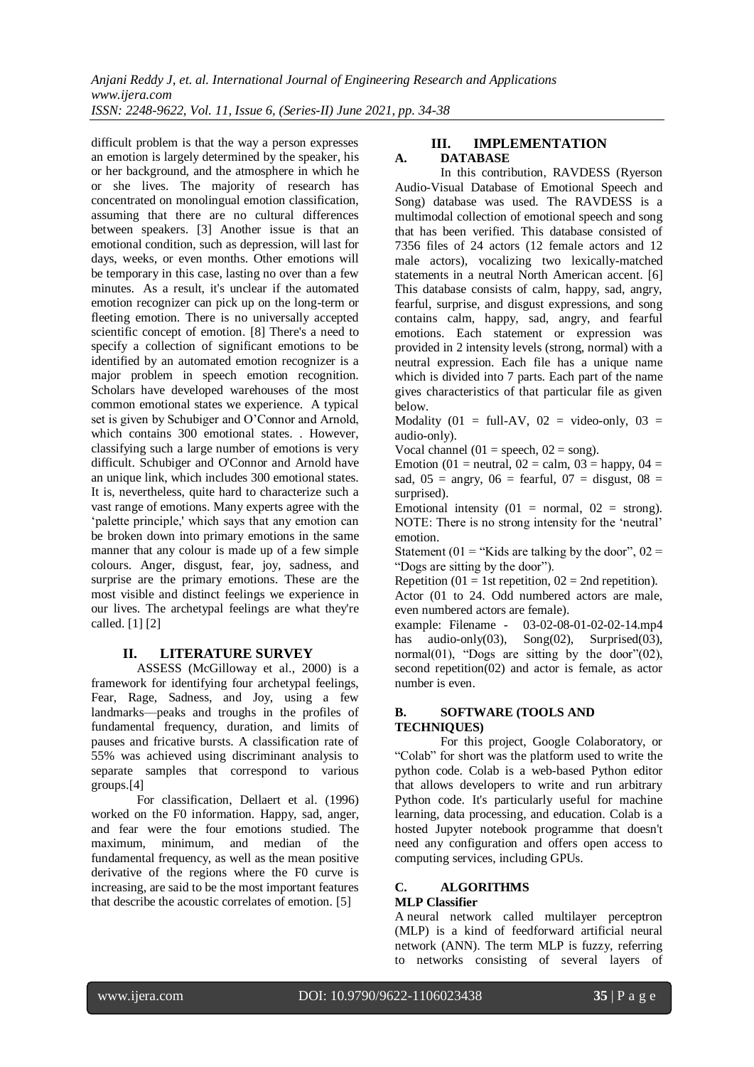*Anjani Reddy J, et. al. International Journal of Engineering Research and Applications www.ijera.com*

*ISSN: 2248-9622, Vol. 11, Issue 6, (Series-II) June 2021, pp. 34-38*

difficult problem is that the way a person expresses an emotion is largely determined by the speaker, his or her background, and the atmosphere in which he or she lives. The majority of research has concentrated on monolingual emotion classification, assuming that there are no cultural differences between speakers. [3] Another issue is that an emotional condition, such as depression, will last for days, weeks, or even months. Other emotions will be temporary in this case, lasting no over than a few minutes. As a result, it's unclear if the automated emotion recognizer can pick up on the long-term or fleeting emotion. There is no universally accepted scientific concept of emotion. [8] There's a need to specify a collection of significant emotions to be identified by an automated emotion recognizer is a major problem in speech emotion recognition. Scholars have developed warehouses of the most common emotional states we experience. A typical set is given by Schubiger and O'Connor and Arnold, which contains 300 emotional states. . However, classifying such a large number of emotions is very difficult. Schubiger and O'Connor and Arnold have an unique link, which includes 300 emotional states. It is, nevertheless, quite hard to characterize such a vast range of emotions. Many experts agree with the 'palette principle,' which says that any emotion can be broken down into primary emotions in the same manner that any colour is made up of a few simple colours. Anger, disgust, fear, joy, sadness, and surprise are the primary emotions. These are the most visible and distinct feelings we experience in our lives. The archetypal feelings are what they're called. [1] [2]

# **II. LITERATURE SURVEY**

ASSESS (McGilloway et al., 2000) is a framework for identifying four archetypal feelings, Fear, Rage, Sadness, and Joy, using a few landmarks––peaks and troughs in the profiles of fundamental frequency, duration, and limits of pauses and fricative bursts. A classification rate of 55% was achieved using discriminant analysis to separate samples that correspond to various groups.[4]

For classification, Dellaert et al. (1996) worked on the F0 information. Happy, sad, anger, and fear were the four emotions studied. The maximum, minimum, and median of the fundamental frequency, as well as the mean positive derivative of the regions where the F0 curve is increasing, are said to be the most important features that describe the acoustic correlates of emotion. [5]

# **III. IMPLEMENTATION A. DATABASE**

In this contribution, RAVDESS (Ryerson Audio-Visual Database of Emotional Speech and Song) database was used. The RAVDESS is a multimodal collection of emotional speech and song that has been verified. This database consisted of 7356 files of 24 actors (12 female actors and 12 male actors), vocalizing two lexically-matched statements in a neutral North American accent. [6] This database consists of calm, happy, sad, angry, fearful, surprise, and disgust expressions, and song contains calm, happy, sad, angry, and fearful emotions. Each statement or expression was provided in 2 intensity levels (strong, normal) with a neutral expression. Each file has a unique name which is divided into 7 parts. Each part of the name gives characteristics of that particular file as given below.

Modality (01 = full-AV, 02 = video-only, 03 = audio-only).

Vocal channel (01 = speech,  $02 =$  song).

Emotion (01 = neutral, 02 = calm,  $03$  = happy, 04 = sad,  $05 =$  angry,  $06 =$  fearful,  $07 =$  disgust,  $08 =$ surprised).

Emotional intensity  $(01 = normal, 02 = strong)$ . NOTE: There is no strong intensity for the 'neutral' emotion.

Statement (01 = "Kids are talking by the door",  $02 =$ "Dogs are sitting by the door").

Repetition (01 = 1st repetition,  $02 = 2$ nd repetition).

Actor (01 to 24. Odd numbered actors are male, even numbered actors are female).

example: Filename - 03-02-08-01-02-02-14.mp4 has audio-only(03),  $\text{Song}(02)$ ,  $\text{Surprised}(03)$ , normal $(01)$ , "Dogs are sitting by the door" $(02)$ , second repetition(02) and actor is female, as actor number is even.

# **B. SOFTWARE (TOOLS AND TECHNIQUES)**

For this project, Google Colaboratory, or "Colab" for short was the platform used to write the python code. Colab is a web-based Python editor that allows developers to write and run arbitrary Python code. It's particularly useful for machine learning, data processing, and education. Colab is a hosted Jupyter notebook programme that doesn't need any configuration and offers open access to computing services, including GPUs.

#### **C. ALGORITHMS MLP Classifier**

A neural network called multilayer perceptron (MLP) is a kind of feedforward artificial neural network (ANN). The term MLP is fuzzy, referring to networks consisting of several layers of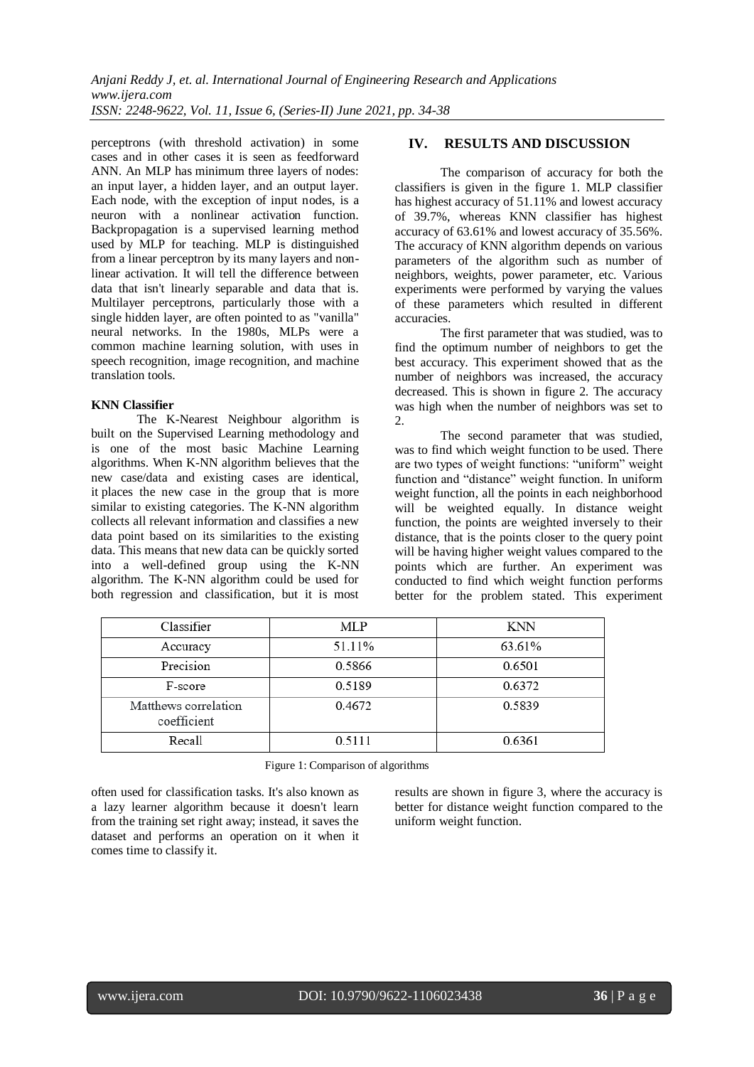perceptrons (with threshold activation) in some cases and in other cases it is seen as feedforward ANN. An MLP has minimum three layers of nodes: an input layer, a hidden layer, and an output layer. Each node, with the exception of input nodes, is a neuron with a nonlinear activation function. Backpropagation is a supervised learning method used by MLP for teaching. MLP is distinguished from a linear perceptron by its many layers and nonlinear activation. It will tell the difference between data that isn't linearly separable and data that is. Multilayer perceptrons, particularly those with a single hidden layer, are often pointed to as "vanilla" neural networks. In the 1980s, MLPs were a common machine learning solution, with uses in speech recognition, image recognition, and machine translation tools.

#### **KNN Classifier**

The K-Nearest Neighbour algorithm is built on the Supervised Learning methodology and is one of the most basic Machine Learning algorithms. When K-NN algorithm believes that the new case/data and existing cases are identical, it places the new case in the group that is more similar to existing categories. The K-NN algorithm collects all relevant information and classifies a new data point based on its similarities to the existing data. This means that new data can be quickly sorted into a well-defined group using the K-NN algorithm. The K-NN algorithm could be used for both regression and classification, but it is most

# **IV. RESULTS AND DISCUSSION**

The comparison of accuracy for both the classifiers is given in the figure 1. MLP classifier has highest accuracy of 51.11% and lowest accuracy of 39.7%, whereas KNN classifier has highest accuracy of 63.61% and lowest accuracy of 35.56%. The accuracy of KNN algorithm depends on various parameters of the algorithm such as number of neighbors, weights, power parameter, etc. Various experiments were performed by varying the values of these parameters which resulted in different accuracies.

The first parameter that was studied, was to find the optimum number of neighbors to get the best accuracy. This experiment showed that as the number of neighbors was increased, the accuracy decreased. This is shown in figure 2. The accuracy was high when the number of neighbors was set to 2.

The second parameter that was studied, was to find which weight function to be used. There are two types of weight functions: "uniform" weight function and "distance" weight function. In uniform weight function, all the points in each neighborhood will be weighted equally. In distance weight function, the points are weighted inversely to their distance, that is the points closer to the query point will be having higher weight values compared to the points which are further. An experiment was conducted to find which weight function performs better for the problem stated. This experiment

| Classifier                          | MLP    | <b>KNN</b> |
|-------------------------------------|--------|------------|
| Accuracy                            | 51.11% | 63.61%     |
| Precision                           | 0.5866 | 0.6501     |
| F-score                             | 0.5189 | 0.6372     |
| Matthews correlation<br>coefficient | 0.4672 | 0.5839     |
| Recall                              | 0.5111 | 0.6361     |

Figure 1: Comparison of algorithms

often used for classification tasks. It's also known as a lazy learner algorithm because it doesn't learn from the training set right away; instead, it saves the dataset and performs an operation on it when it comes time to classify it.

results are shown in figure 3, where the accuracy is better for distance weight function compared to the uniform weight function.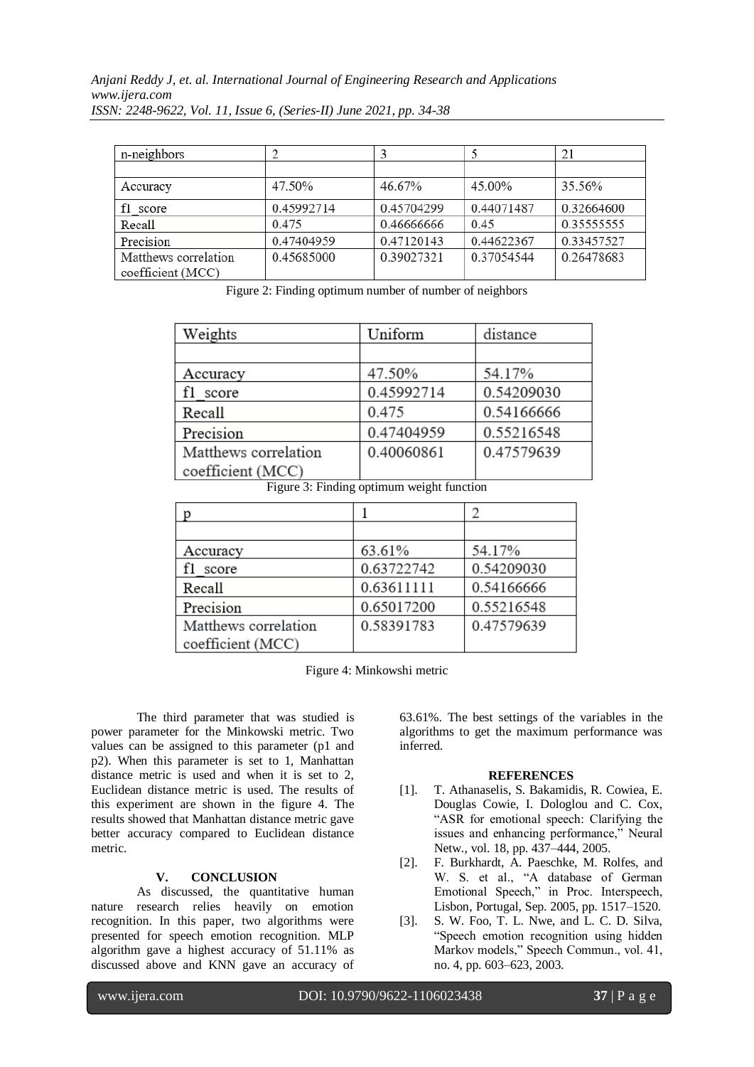| n-neighbors          |            |            |            | 21          |
|----------------------|------------|------------|------------|-------------|
|                      |            |            |            |             |
| Accuracy             | 47.50%     | 46.67%     | 45.00%     | 35.56%      |
| f1 score             | 0.45992714 | 0.45704299 | 0.44071487 | 0.32664600  |
| Recall               | 0.475      | 0.46666666 | 0.45       | 0.355555555 |
| Precision            | 0.47404959 | 0.47120143 | 0.44622367 | 0.33457527  |
| Matthews correlation | 0.45685000 | 0.39027321 | 0.37054544 | 0.26478683  |
| coefficient (MCC)    |            |            |            |             |

Figure 2: Finding optimum number of number of neighbors

| Weights              | Uniform    | distance   |
|----------------------|------------|------------|
|                      |            |            |
| Accuracy             | 47.50%     | 54.17%     |
| f1 score             | 0.45992714 | 0.54209030 |
| Recall               | 0.475      | 0.54166666 |
| Precision            | 0.47404959 | 0.55216548 |
| Matthews correlation | 0.40060861 | 0.47579639 |
| coefficient (MCC)    |            |            |

Figure 3: Finding optimum weight function

| Accuracy             | 63.61%     | 54.17%     |
|----------------------|------------|------------|
| f1 score             | 0.63722742 | 0.54209030 |
| Recall               | 0.63611111 | 0.54166666 |
| Precision            | 0.65017200 | 0.55216548 |
| Matthews correlation | 0.58391783 | 0.47579639 |
| coefficient (MCC)    |            |            |

Figure 4: Minkowshi metric

The third parameter that was studied is power parameter for the Minkowski metric. Two values can be assigned to this parameter (p1 and p2). When this parameter is set to 1, Manhattan distance metric is used and when it is set to 2, Euclidean distance metric is used. The results of this experiment are shown in the figure 4. The results showed that Manhattan distance metric gave better accuracy compared to Euclidean distance metric.

# **V. CONCLUSION**

As discussed, the quantitative human nature research relies heavily on emotion recognition. In this paper, two algorithms were presented for speech emotion recognition. MLP algorithm gave a highest accuracy of 51.11% as discussed above and KNN gave an accuracy of 63.61%. The best settings of the variables in the algorithms to get the maximum performance was inferred.

# **REFERENCES**

- [1]. T. Athanaselis, S. Bakamidis, R. Cowiea, E. Douglas Cowie, I. Dologlou and C. Cox, "ASR for emotional speech: Clarifying the issues and enhancing performance," Neural Netw., vol. 18, pp. 437–444, 2005.
- [2]. F. Burkhardt, A. Paeschke, M. Rolfes, and W. S. et al., "A database of German Emotional Speech," in Proc. Interspeech, Lisbon, Portugal, Sep. 2005, pp. 1517–1520.
- [3]. S. W. Foo, T. L. Nwe, and L. C. D. Silva, "Speech emotion recognition using hidden Markov models," Speech Commun., vol. 41, no. 4, pp. 603–623, 2003.